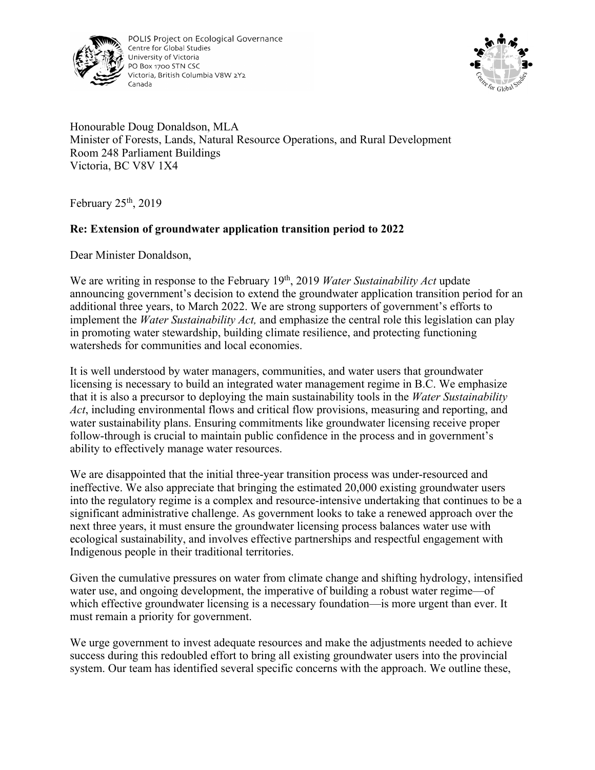

POLIS Project on Ecological Governance Centre for Global Studies University of Victoria PO Box 1700 STN CSC Victoria, British Columbia V8W 2Y2 Canada



Honourable Doug Donaldson, MLA Minister of Forests, Lands, Natural Resource Operations, and Rural Development Room 248 Parliament Buildings Victoria, BC V8V 1X4

February  $25<sup>th</sup>$ , 2019

## **Re: Extension of groundwater application transition period to 2022**

Dear Minister Donaldson,

We are writing in response to the February 19<sup>th</sup>, 2019 *Water Sustainability Act* update announcing government's decision to extend the groundwater application transition period for an additional three years, to March 2022. We are strong supporters of government's efforts to implement the *Water Sustainability Act,* and emphasize the central role this legislation can play in promoting water stewardship, building climate resilience, and protecting functioning watersheds for communities and local economies.

It is well understood by water managers, communities, and water users that groundwater licensing is necessary to build an integrated water management regime in B.C. We emphasize that it is also a precursor to deploying the main sustainability tools in the *Water Sustainability Act*, including environmental flows and critical flow provisions, measuring and reporting, and water sustainability plans. Ensuring commitments like groundwater licensing receive proper follow-through is crucial to maintain public confidence in the process and in government's ability to effectively manage water resources.

We are disappointed that the initial three-year transition process was under-resourced and ineffective. We also appreciate that bringing the estimated 20,000 existing groundwater users into the regulatory regime is a complex and resource-intensive undertaking that continues to be a significant administrative challenge. As government looks to take a renewed approach over the next three years, it must ensure the groundwater licensing process balances water use with ecological sustainability, and involves effective partnerships and respectful engagement with Indigenous people in their traditional territories.

Given the cumulative pressures on water from climate change and shifting hydrology, intensified water use, and ongoing development, the imperative of building a robust water regime—of which effective groundwater licensing is a necessary foundation—is more urgent than ever. It must remain a priority for government.

We urge government to invest adequate resources and make the adjustments needed to achieve success during this redoubled effort to bring all existing groundwater users into the provincial system. Our team has identified several specific concerns with the approach. We outline these,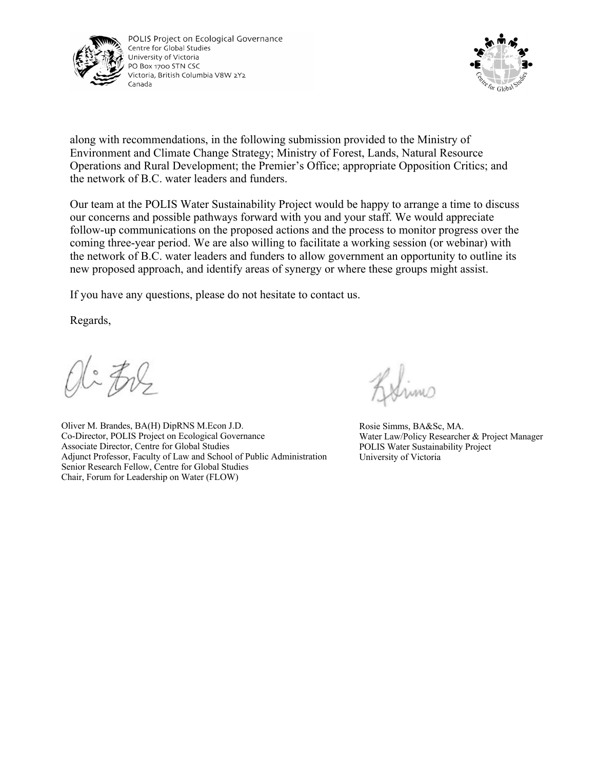

POLIS Project on Ecological Governance Centre for Global Studies University of Victoria PO Box 1700 STN CSC Victoria, British Columbia V8W 2Y2 Canada



along with recommendations, in the following submission provided to the Ministry of Environment and Climate Change Strategy; Ministry of Forest, Lands, Natural Resource Operations and Rural Development; the Premier's Office; appropriate Opposition Critics; and the network of B.C. water leaders and funders.

Our team at the POLIS Water Sustainability Project would be happy to arrange a time to discuss our concerns and possible pathways forward with you and your staff. We would appreciate follow-up communications on the proposed actions and the process to monitor progress over the coming three-year period. We are also willing to facilitate a working session (or webinar) with the network of B.C. water leaders and funders to allow government an opportunity to outline its new proposed approach, and identify areas of synergy or where these groups might assist.

If you have any questions, please do not hesitate to contact us.

Regards,

Oli Zol

Oliver M. Brandes, BA(H) DipRNS M.Econ J.D. Co-Director, POLIS Project on Ecological Governance Associate Director, Centre for Global Studies Adjunct Professor, Faculty of Law and School of Public Administration Senior Research Fellow, Centre for Global Studies Chair, Forum for Leadership on Water (FLOW)

Simo

Rosie Simms, BA&Sc, MA. Water Law/Policy Researcher & Project Manager POLIS Water Sustainability Project University of Victoria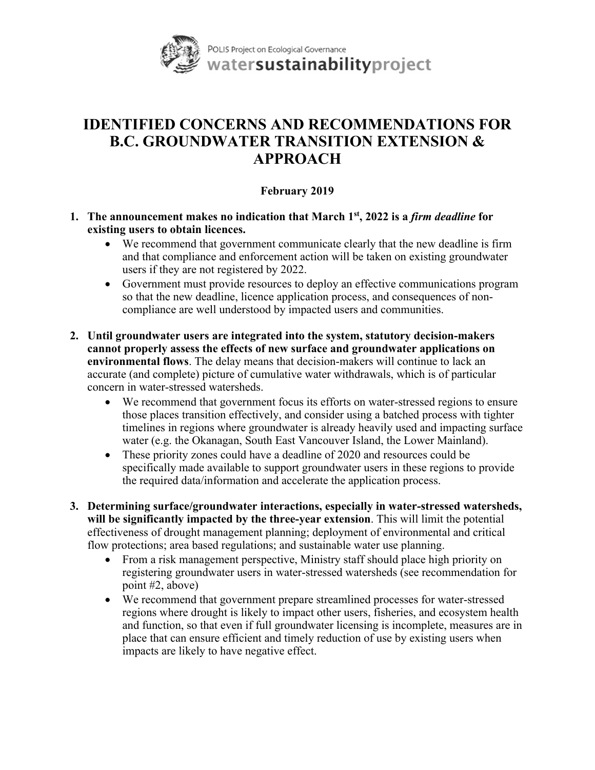

## **IDENTIFIED CONCERNS AND RECOMMENDATIONS FOR B.C. GROUNDWATER TRANSITION EXTENSION & APPROACH**

## **February 2019**

- **1. The announcement makes no indication that March 1st, 2022 is a** *firm deadline* **for existing users to obtain licences.** 
	- We recommend that government communicate clearly that the new deadline is firm and that compliance and enforcement action will be taken on existing groundwater users if they are not registered by 2022.
	- Government must provide resources to deploy an effective communications program so that the new deadline, licence application process, and consequences of noncompliance are well understood by impacted users and communities.
- **2. Until groundwater users are integrated into the system, statutory decision-makers cannot properly assess the effects of new surface and groundwater applications on environmental flows**. The delay means that decision-makers will continue to lack an accurate (and complete) picture of cumulative water withdrawals, which is of particular concern in water-stressed watersheds.
	- We recommend that government focus its efforts on water-stressed regions to ensure those places transition effectively, and consider using a batched process with tighter timelines in regions where groundwater is already heavily used and impacting surface water (e.g. the Okanagan, South East Vancouver Island, the Lower Mainland).
	- These priority zones could have a deadline of 2020 and resources could be specifically made available to support groundwater users in these regions to provide the required data/information and accelerate the application process.
- **3. Determining surface/groundwater interactions, especially in water-stressed watersheds, will be significantly impacted by the three-year extension**. This will limit the potential effectiveness of drought management planning; deployment of environmental and critical flow protections; area based regulations; and sustainable water use planning.
	- From a risk management perspective, Ministry staff should place high priority on registering groundwater users in water-stressed watersheds (see recommendation for point #2, above)
	- We recommend that government prepare streamlined processes for water-stressed regions where drought is likely to impact other users, fisheries, and ecosystem health and function, so that even if full groundwater licensing is incomplete, measures are in place that can ensure efficient and timely reduction of use by existing users when impacts are likely to have negative effect.